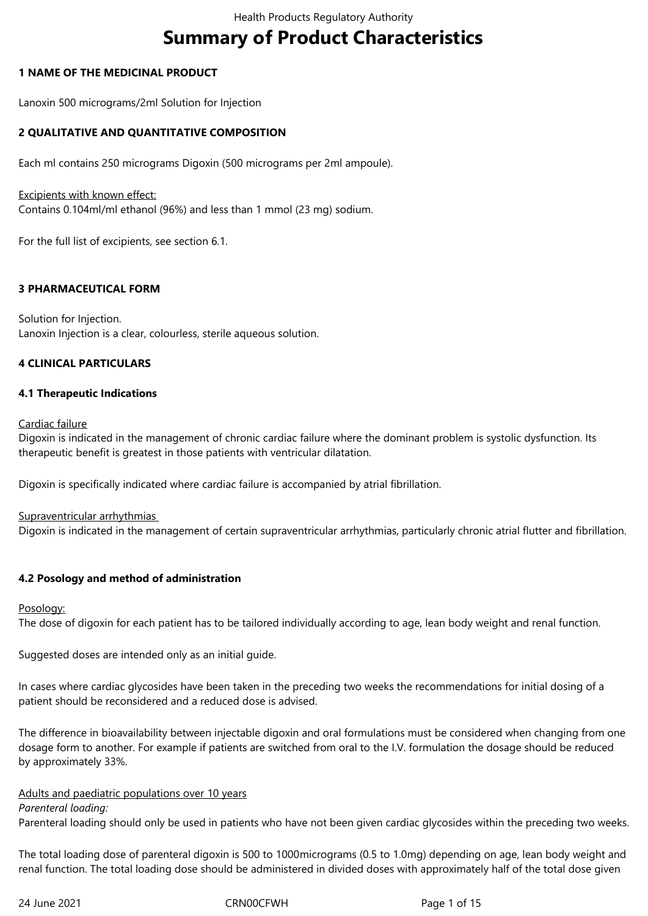# **Summary of Product Characteristics**

## **1 NAME OF THE MEDICINAL PRODUCT**

Lanoxin 500 micrograms/2ml Solution for Injection

## **2 QUALITATIVE AND QUANTITATIVE COMPOSITION**

Each ml contains 250 micrograms Digoxin (500 micrograms per 2ml ampoule).

## Excipients with known effect:

Contains 0.104ml/ml ethanol (96%) and less than 1 mmol (23 mg) sodium.

For the full list of excipients, see section 6.1.

## **3 PHARMACEUTICAL FORM**

Solution for Injection. Lanoxin Injection is a clear, colourless, sterile aqueous solution.

## **4 CLINICAL PARTICULARS**

## **4.1 Therapeutic Indications**

Cardiac failure

Digoxin is indicated in the management of chronic cardiac failure where the dominant problem is systolic dysfunction. Its therapeutic benefit is greatest in those patients with ventricular dilatation.

Digoxin is specifically indicated where cardiac failure is accompanied by atrial fibrillation.

## Supraventricular arrhythmias

Digoxin is indicated in the management of certain supraventricular arrhythmias, particularly chronic atrial flutter and fibrillation.

## **4.2 Posology and method of administration**

#### Posology:

The dose of digoxin for each patient has to be tailored individually according to age, lean body weight and renal function.

Suggested doses are intended only as an initial guide.

In cases where cardiac glycosides have been taken in the preceding two weeks the recommendations for initial dosing of a patient should be reconsidered and a reduced dose is advised.

The difference in bioavailability between injectable digoxin and oral formulations must be considered when changing from one dosage form to another. For example if patients are switched from oral to the I.V. formulation the dosage should be reduced by approximately 33%.

#### Adults and paediatric populations over 10 years

#### *Parenteral loading:*

Parenteral loading should only be used in patients who have not been given cardiac glycosides within the preceding two weeks.

The total loading dose of parenteral digoxin is 500 to 1000micrograms (0.5 to 1.0mg) depending on age, lean body weight and renal function. The total loading dose should be administered in divided doses with approximately half of the total dose given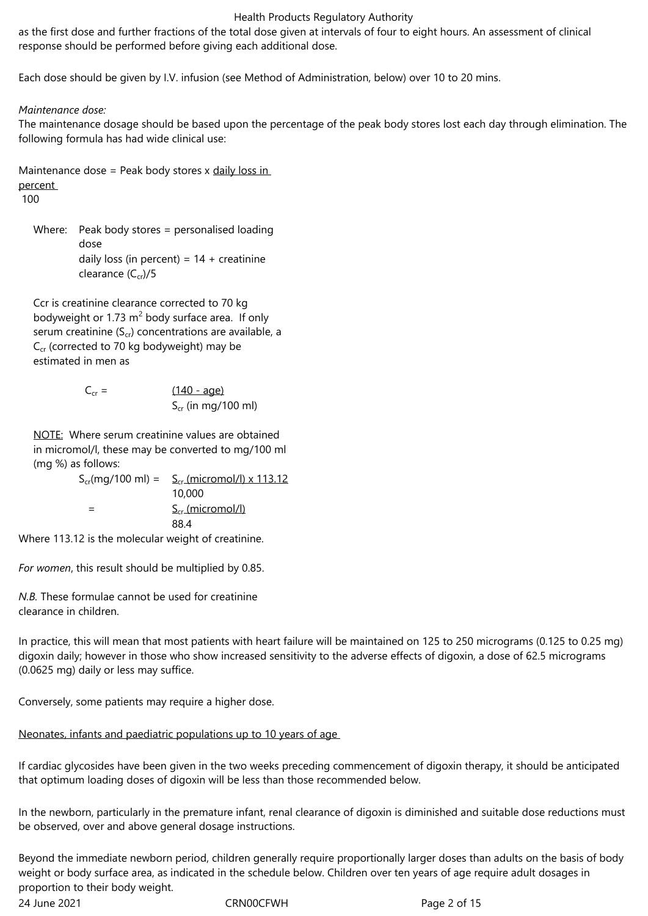as the first dose and further fractions of the total dose given at intervals of four to eight hours. An assessment of clinical response should be performed before giving each additional dose.

Each dose should be given by I.V. infusion (see Method of Administration, below) over 10 to 20 mins.

## *Maintenance dose:*

The maintenance dosage should be based upon the percentage of the peak body stores lost each day through elimination. The following formula has had wide clinical use:

Maintenance dose = Peak body stores x daily loss in percent

100

Where: Peak body stores = personalised loading dose daily loss (in percent) =  $14 +$  creatinine clearance  $(C_{cr})/5$ 

Ccr is creatinine clearance corrected to 70 kg bodyweight or 1.73  $m^2$  body surface area. If only serum creatinine  $(S_{cr})$  concentrations are available, a  $C_{cr}$  (corrected to 70 kg bodyweight) may be estimated in men as

$$
C_{cr} = \frac{(140 - age)}{S_{cr} (in mg/100 ml)}
$$

NOTE: Where serum creatinine values are obtained in micromol/l, these may be converted to mg/100 ml (mg %) as follows:

 $S_{cr}(mq/100 \text{ ml}) = S_{cr}(micromol/l) \times 113.12$ 10,000  $S_{cr}$  (micromol/l) 88.4 Where 113.12 is the molecular weight of creatinine.

*For women*, this result should be multiplied by 0.85.

*N.B.* These formulae cannot be used for creatinine clearance in children.

In practice, this will mean that most patients with heart failure will be maintained on 125 to 250 micrograms (0.125 to 0.25 mg) digoxin daily; however in those who show increased sensitivity to the adverse effects of digoxin, a dose of 62.5 micrograms (0.0625 mg) daily or less may suffice.

Conversely, some patients may require a higher dose.

## Neonates, infants and paediatric populations up to 10 years of age

If cardiac glycosides have been given in the two weeks preceding commencement of digoxin therapy, it should be anticipated that optimum loading doses of digoxin will be less than those recommended below.

In the newborn, particularly in the premature infant, renal clearance of digoxin is diminished and suitable dose reductions must be observed, over and above general dosage instructions.

Beyond the immediate newborn period, children generally require proportionally larger doses than adults on the basis of body weight or body surface area, as indicated in the schedule below. Children over ten years of age require adult dosages in proportion to their body weight.

24 June 2021 **CRNOOCFWH** Page 2 of 15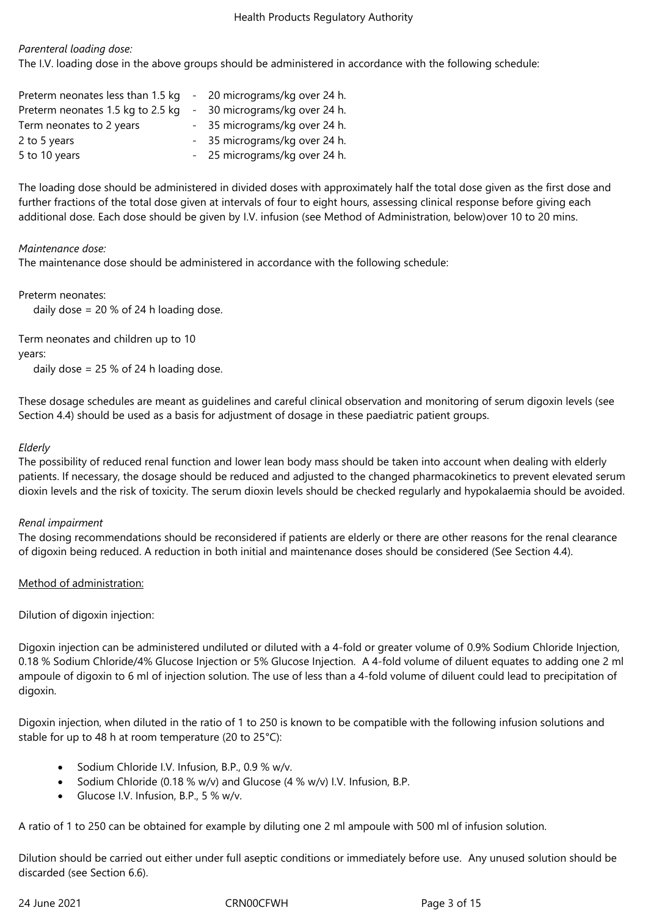## *Parenteral loading dose:*

The I.V. loading dose in the above groups should be administered in accordance with the following schedule:

| Preterm neonates less than 1.5 kg | - 20 micrograms/kg over 24 h. |
|-----------------------------------|-------------------------------|
| Preterm neonates 1.5 kg to 2.5 kg | - 30 micrograms/kg over 24 h. |
| Term neonates to 2 years          | - 35 micrograms/kg over 24 h. |
| 2 to 5 years                      | - 35 micrograms/kg over 24 h. |
| 5 to 10 years                     | - 25 micrograms/kg over 24 h. |

The loading dose should be administered in divided doses with approximately half the total dose given as the first dose and further fractions of the total dose given at intervals of four to eight hours, assessing clinical response before giving each additional dose. Each dose should be given by I.V. infusion (see Method of Administration, below)over 10 to 20 mins.

## *Maintenance dose:*

The maintenance dose should be administered in accordance with the following schedule:

Preterm neonates:

daily dose = 20 % of 24 h loading dose.

Term neonates and children up to 10 years:

daily dose  $= 25 %$  of 24 h loading dose.

These dosage schedules are meant as guidelines and careful clinical observation and monitoring of serum digoxin levels (see Section 4.4) should be used as a basis for adjustment of dosage in these paediatric patient groups.

## *Elderly*

The possibility of reduced renal function and lower lean body mass should be taken into account when dealing with elderly patients. If necessary, the dosage should be reduced and adjusted to the changed pharmacokinetics to prevent elevated serum dioxin levels and the risk of toxicity. The serum dioxin levels should be checked regularly and hypokalaemia should be avoided.

#### *Renal impairment*

The dosing recommendations should be reconsidered if patients are elderly or there are other reasons for the renal clearance of digoxin being reduced. A reduction in both initial and maintenance doses should be considered (See Section 4.4).

## Method of administration:

Dilution of digoxin injection:

Digoxin injection can be administered undiluted or diluted with a 4-fold or greater volume of 0.9% Sodium Chloride Injection, 0.18 % Sodium Chloride/4% Glucose Injection or 5% Glucose Injection. A 4-fold volume of diluent equates to adding one 2 ml ampoule of digoxin to 6 ml of injection solution. The use of less than a 4-fold volume of diluent could lead to precipitation of digoxin.

Digoxin injection, when diluted in the ratio of 1 to 250 is known to be compatible with the following infusion solutions and stable for up to 48 h at room temperature (20 to 25°C):

- Sodium Chloride I.V. Infusion, B.P., 0.9 % w/v.
- Sodium Chloride (0.18 % w/v) and Glucose (4 % w/v) I.V. Infusion, B.P.
- Glucose I.V. Infusion, B.P., 5 % w/v.

A ratio of 1 to 250 can be obtained for example by diluting one 2 ml ampoule with 500 ml of infusion solution.

Dilution should be carried out either under full aseptic conditions or immediately before use. Any unused solution should be discarded (see Section 6.6).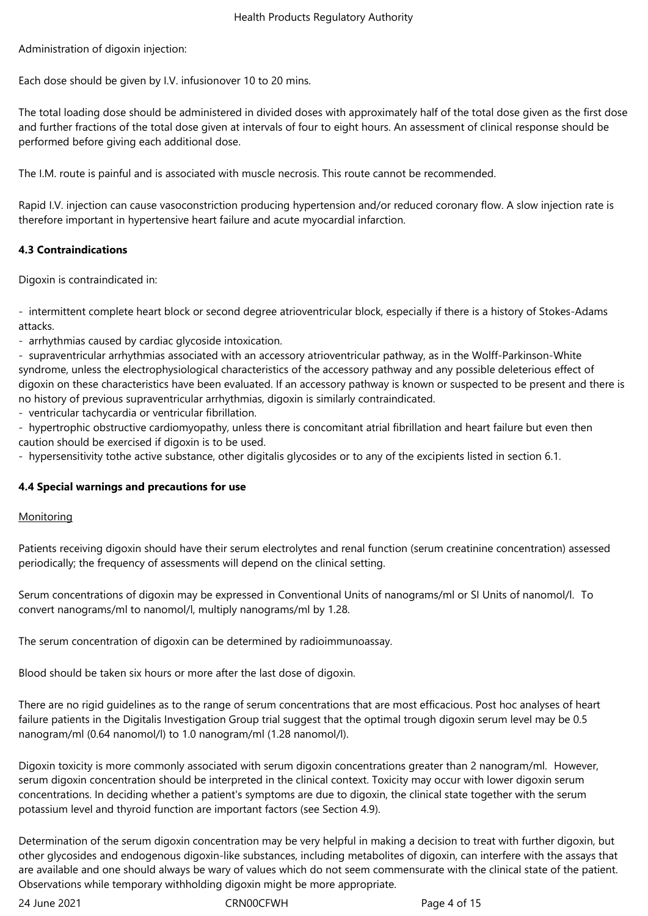Administration of digoxin injection:

Each dose should be given by I.V. infusionover 10 to 20 mins.

The total loading dose should be administered in divided doses with approximately half of the total dose given as the first dose and further fractions of the total dose given at intervals of four to eight hours. An assessment of clinical response should be performed before giving each additional dose.

The I.M. route is painful and is associated with muscle necrosis. This route cannot be recommended.

Rapid I.V. injection can cause vasoconstriction producing hypertension and/or reduced coronary flow. A slow injection rate is therefore important in hypertensive heart failure and acute myocardial infarction.

## **4.3 Contraindications**

Digoxin is contraindicated in:

- intermittent complete heart block or second degree atrioventricular block, especially if there is a history of Stokes-Adams attacks.

- arrhythmias caused by cardiac glycoside intoxication.

- supraventricular arrhythmias associated with an accessory atrioventricular pathway, as in the Wolff-Parkinson-White syndrome, unless the electrophysiological characteristics of the accessory pathway and any possible deleterious effect of digoxin on these characteristics have been evaluated. If an accessory pathway is known or suspected to be present and there is no history of previous supraventricular arrhythmias, digoxin is similarly contraindicated.

- ventricular tachycardia or ventricular fibrillation.

- hypertrophic obstructive cardiomyopathy, unless there is concomitant atrial fibrillation and heart failure but even then caution should be exercised if digoxin is to be used.

- hypersensitivity tothe active substance, other digitalis glycosides or to any of the excipients listed in section 6.1.

#### **4.4 Special warnings and precautions for use**

#### **Monitoring**

Patients receiving digoxin should have their serum electrolytes and renal function (serum creatinine concentration) assessed periodically; the frequency of assessments will depend on the clinical setting.

Serum concentrations of digoxin may be expressed in Conventional Units of nanograms/ml or SI Units of nanomol/l. To convert nanograms/ml to nanomol/l, multiply nanograms/ml by 1.28.

The serum concentration of digoxin can be determined by radioimmunoassay.

Blood should be taken six hours or more after the last dose of digoxin.

There are no rigid guidelines as to the range of serum concentrations that are most efficacious. Post hoc analyses of heart failure patients in the Digitalis Investigation Group trial suggest that the optimal trough digoxin serum level may be 0.5 nanogram/ml (0.64 nanomol/l) to 1.0 nanogram/ml (1.28 nanomol/l).

Digoxin toxicity is more commonly associated with serum digoxin concentrations greater than 2 nanogram/ml. However, serum digoxin concentration should be interpreted in the clinical context. Toxicity may occur with lower digoxin serum concentrations. In deciding whether a patient's symptoms are due to digoxin, the clinical state together with the serum potassium level and thyroid function are important factors (see Section 4.9).

Determination of the serum digoxin concentration may be very helpful in making a decision to treat with further digoxin, but other glycosides and endogenous digoxin-like substances, including metabolites of digoxin, can interfere with the assays that are available and one should always be wary of values which do not seem commensurate with the clinical state of the patient. Observations while temporary withholding digoxin might be more appropriate.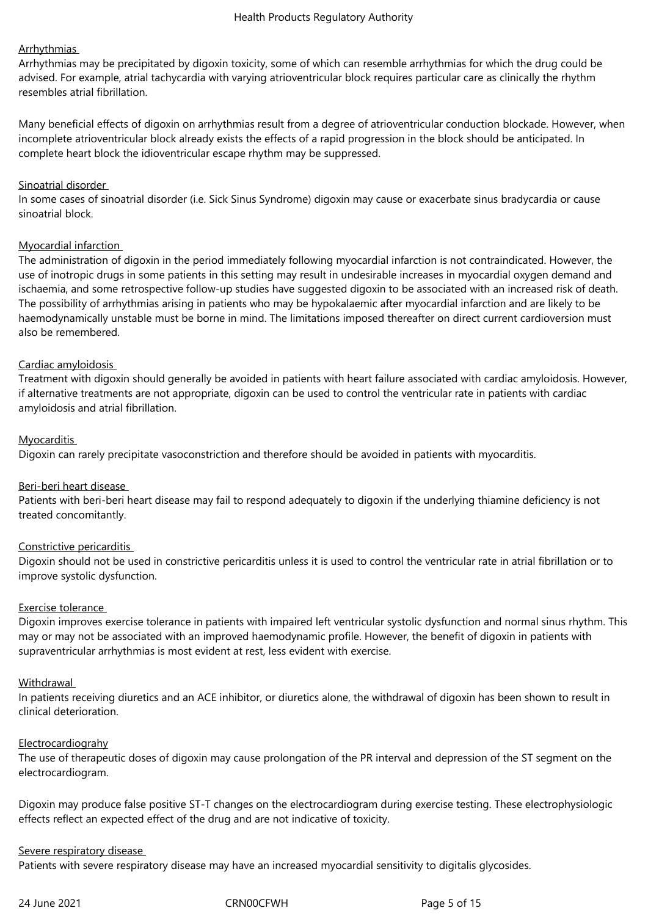## **Arrhythmias**

Arrhythmias may be precipitated by digoxin toxicity, some of which can resemble arrhythmias for which the drug could be advised. For example, atrial tachycardia with varying atrioventricular block requires particular care as clinically the rhythm resembles atrial fibrillation.

Many beneficial effects of digoxin on arrhythmias result from a degree of atrioventricular conduction blockade. However, when incomplete atrioventricular block already exists the effects of a rapid progression in the block should be anticipated. In complete heart block the idioventricular escape rhythm may be suppressed.

#### Sinoatrial disorder

In some cases of sinoatrial disorder (i.e. Sick Sinus Syndrome) digoxin may cause or exacerbate sinus bradycardia or cause sinoatrial block.

#### Myocardial infarction

The administration of digoxin in the period immediately following myocardial infarction is not contraindicated. However, the use of inotropic drugs in some patients in this setting may result in undesirable increases in myocardial oxygen demand and ischaemia, and some retrospective follow-up studies have suggested digoxin to be associated with an increased risk of death. The possibility of arrhythmias arising in patients who may be hypokalaemic after myocardial infarction and are likely to be haemodynamically unstable must be borne in mind. The limitations imposed thereafter on direct current cardioversion must also be remembered.

#### Cardiac amyloidosis

Treatment with digoxin should generally be avoided in patients with heart failure associated with cardiac amyloidosis. However, if alternative treatments are not appropriate, digoxin can be used to control the ventricular rate in patients with cardiac amyloidosis and atrial fibrillation.

#### Myocarditis

Digoxin can rarely precipitate vasoconstriction and therefore should be avoided in patients with myocarditis.

#### Beri-beri heart disease

Patients with beri-beri heart disease may fail to respond adequately to digoxin if the underlying thiamine deficiency is not treated concomitantly.

#### Constrictive pericarditis

Digoxin should not be used in constrictive pericarditis unless it is used to control the ventricular rate in atrial fibrillation or to improve systolic dysfunction.

#### Exercise tolerance

Digoxin improves exercise tolerance in patients with impaired left ventricular systolic dysfunction and normal sinus rhythm. This may or may not be associated with an improved haemodynamic profile. However, the benefit of digoxin in patients with supraventricular arrhythmias is most evident at rest, less evident with exercise.

#### **Withdrawal**

In patients receiving diuretics and an ACE inhibitor, or diuretics alone, the withdrawal of digoxin has been shown to result in clinical deterioration.

#### Electrocardiograhy

The use of therapeutic doses of digoxin may cause prolongation of the PR interval and depression of the ST segment on the electrocardiogram.

Digoxin may produce false positive ST-T changes on the electrocardiogram during exercise testing. These electrophysiologic effects reflect an expected effect of the drug and are not indicative of toxicity.

#### Severe respiratory disease

Patients with severe respiratory disease may have an increased myocardial sensitivity to digitalis glycosides.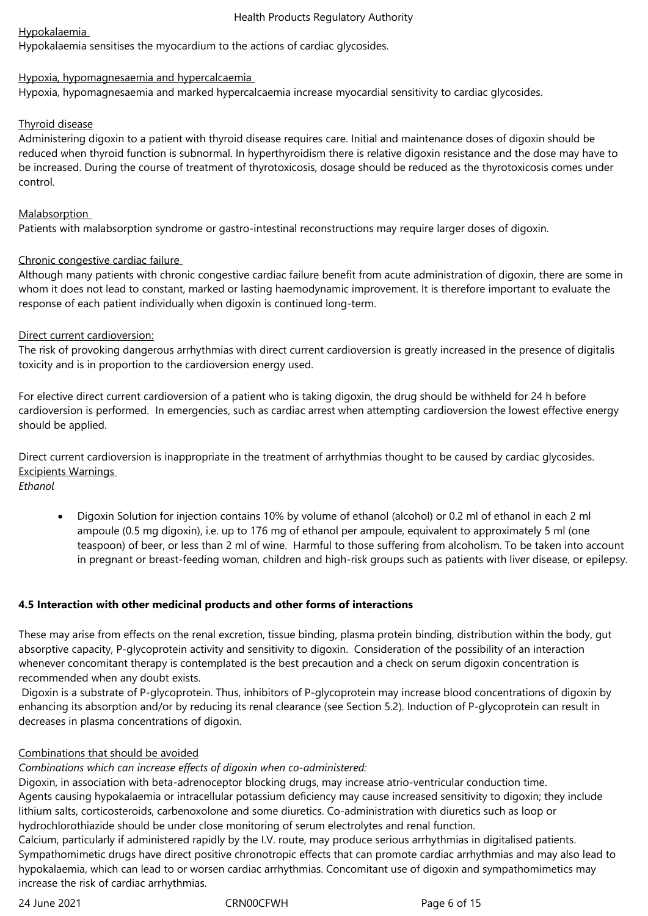## Hypokalaemia

Hypokalaemia sensitises the myocardium to the actions of cardiac glycosides.

## Hypoxia, hypomagnesaemia and hypercalcaemia

Hypoxia, hypomagnesaemia and marked hypercalcaemia increase myocardial sensitivity to cardiac glycosides.

## Thyroid disease

Administering digoxin to a patient with thyroid disease requires care. Initial and maintenance doses of digoxin should be reduced when thyroid function is subnormal. In hyperthyroidism there is relative digoxin resistance and the dose may have to be increased. During the course of treatment of thyrotoxicosis, dosage should be reduced as the thyrotoxicosis comes under control.

## Malabsorption

Patients with malabsorption syndrome or gastro-intestinal reconstructions may require larger doses of digoxin.

## Chronic congestive cardiac failure

Although many patients with chronic congestive cardiac failure benefit from acute administration of digoxin, there are some in whom it does not lead to constant, marked or lasting haemodynamic improvement. It is therefore important to evaluate the response of each patient individually when digoxin is continued long-term.

## Direct current cardioversion:

The risk of provoking dangerous arrhythmias with direct current cardioversion is greatly increased in the presence of digitalis toxicity and is in proportion to the cardioversion energy used.

For elective direct current cardioversion of a patient who is taking digoxin, the drug should be withheld for 24 h before cardioversion is performed. In emergencies, such as cardiac arrest when attempting cardioversion the lowest effective energy should be applied.

Direct current cardioversion is inappropriate in the treatment of arrhythmias thought to be caused by cardiac glycosides. Excipients Warnings

*Ethanol*

 Digoxin Solution for injection contains 10% by volume of ethanol (alcohol) or 0.2 ml of ethanol in each 2 ml ampoule (0.5 mg digoxin), i.e. up to 176 mg of ethanol per ampoule, equivalent to approximately 5 ml (one teaspoon) of beer, or less than 2 ml of wine. Harmful to those suffering from alcoholism. To be taken into account in pregnant or breast-feeding woman, children and high-risk groups such as patients with liver disease, or epilepsy.

#### **4.5 Interaction with other medicinal products and other forms of interactions**

These may arise from effects on the renal excretion, tissue binding, plasma protein binding, distribution within the body, gut absorptive capacity, P-glycoprotein activity and sensitivity to digoxin. Consideration of the possibility of an interaction whenever concomitant therapy is contemplated is the best precaution and a check on serum digoxin concentration is recommended when any doubt exists.

 Digoxin is a substrate of P-glycoprotein. Thus, inhibitors of P-glycoprotein may increase blood concentrations of digoxin by enhancing its absorption and/or by reducing its renal clearance (see Section 5.2). Induction of P-glycoprotein can result in decreases in plasma concentrations of digoxin.

## Combinations that should be avoided

# *Combinations which can increase effects of digoxin when co-administered:*

Digoxin, in association with beta-adrenoceptor blocking drugs, may increase atrio-ventricular conduction time. Agents causing hypokalaemia or intracellular potassium deficiency may cause increased sensitivity to digoxin; they include lithium salts, corticosteroids, carbenoxolone and some diuretics. Co-administration with diuretics such as loop or hydrochlorothiazide should be under close monitoring of serum electrolytes and renal function.

Calcium, particularly if administered rapidly by the I.V. route, may produce serious arrhythmias in digitalised patients. Sympathomimetic drugs have direct positive chronotropic effects that can promote cardiac arrhythmias and may also lead to hypokalaemia, which can lead to or worsen cardiac arrhythmias. Concomitant use of digoxin and sympathomimetics may increase the risk of cardiac arrhythmias.

24 June 2021 **CRNOOCFWH** Page 6 of 15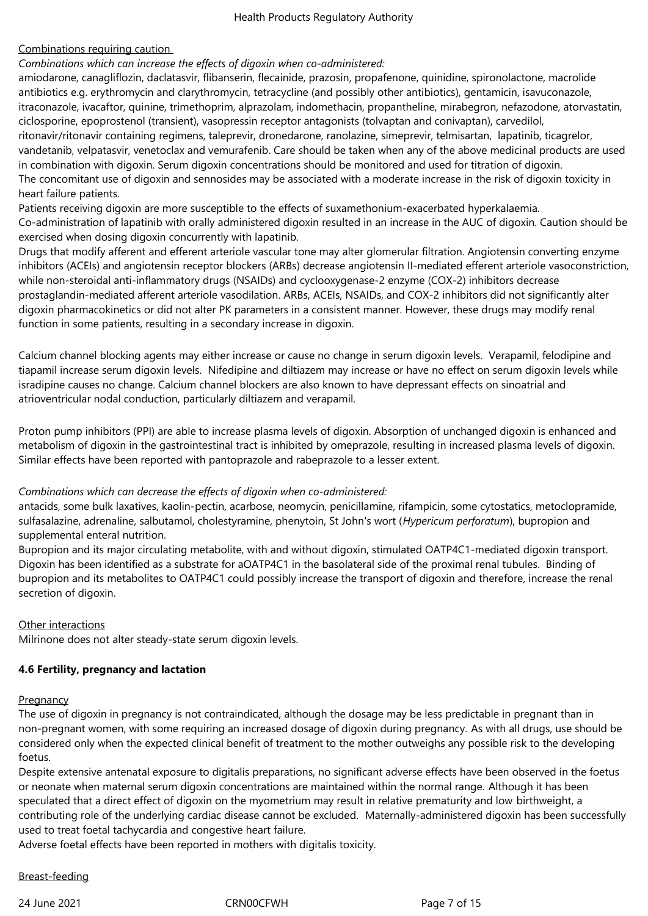## Combinations requiring caution

*Combinations which can increase the effects of digoxin when co-administered:*

amiodarone, canagliflozin, daclatasvir, flibanserin, flecainide, prazosin, propafenone, quinidine, spironolactone, macrolide antibiotics e.g. erythromycin and clarythromycin, tetracycline (and possibly other antibiotics), gentamicin, isavuconazole, itraconazole, ivacaftor, quinine, trimethoprim, alprazolam, indomethacin, propantheline, mirabegron, nefazodone, atorvastatin, ciclosporine, epoprostenol (transient), vasopressin receptor antagonists (tolvaptan and conivaptan), carvedilol, ritonavir/ritonavir containing regimens, taleprevir, dronedarone, ranolazine, simeprevir, telmisartan, lapatinib, ticagrelor, vandetanib, velpatasvir, venetoclax and vemurafenib. Care should be taken when any of the above medicinal products are used in combination with digoxin. Serum digoxin concentrations should be monitored and used for titration of digoxin. The concomitant use of digoxin and sennosides may be associated with a moderate increase in the risk of digoxin toxicity in heart failure patients.

Patients receiving digoxin are more susceptible to the effects of suxamethonium-exacerbated hyperkalaemia. Co-administration of lapatinib with orally administered digoxin resulted in an increase in the AUC of digoxin. Caution should be exercised when dosing digoxin concurrently with lapatinib.

Drugs that modify afferent and efferent arteriole vascular tone may alter glomerular filtration. Angiotensin converting enzyme inhibitors (ACEIs) and angiotensin receptor blockers (ARBs) decrease angiotensin II-mediated efferent arteriole vasoconstriction, while non-steroidal anti-inflammatory drugs (NSAIDs) and cyclooxygenase-2 enzyme (COX-2) inhibitors decrease prostaglandin-mediated afferent arteriole vasodilation. ARBs, ACEIs, NSAIDs, and COX-2 inhibitors did not significantly alter digoxin pharmacokinetics or did not alter PK parameters in a consistent manner. However, these drugs may modify renal function in some patients, resulting in a secondary increase in digoxin.

Calcium channel blocking agents may either increase or cause no change in serum digoxin levels. Verapamil, felodipine and tiapamil increase serum digoxin levels. Nifedipine and diltiazem may increase or have no effect on serum digoxin levels while isradipine causes no change. Calcium channel blockers are also known to have depressant effects on sinoatrial and atrioventricular nodal conduction, particularly diltiazem and verapamil.

Proton pump inhibitors (PPI) are able to increase plasma levels of digoxin. Absorption of unchanged digoxin is enhanced and metabolism of digoxin in the gastrointestinal tract is inhibited by omeprazole, resulting in increased plasma levels of digoxin. Similar effects have been reported with pantoprazole and rabeprazole to a lesser extent.

#### *Combinations which can decrease the effects of digoxin when co-administered:*

antacids, some bulk laxatives, kaolin-pectin, acarbose, neomycin, penicillamine, rifampicin, some cytostatics, metoclopramide, sulfasalazine, adrenaline, salbutamol, cholestyramine, phenytoin, St John's wort (*Hypericum perforatum*), bupropion and supplemental enteral nutrition.

Bupropion and its major circulating metabolite, with and without digoxin, stimulated OATP4C1-mediated digoxin transport. Digoxin has been identified as a substrate for aOATP4C1 in the basolateral side of the proximal renal tubules. Binding of bupropion and its metabolites to OATP4C1 could possibly increase the transport of digoxin and therefore, increase the renal secretion of digoxin.

#### Other interactions

Milrinone does not alter steady-state serum digoxin levels.

## **4.6 Fertility, pregnancy and lactation**

#### **Pregnancy**

The use of digoxin in pregnancy is not contraindicated, although the dosage may be less predictable in pregnant than in non-pregnant women, with some requiring an increased dosage of digoxin during pregnancy. As with all drugs, use should be considered only when the expected clinical benefit of treatment to the mother outweighs any possible risk to the developing foetus.

Despite extensive antenatal exposure to digitalis preparations, no significant adverse effects have been observed in the foetus or neonate when maternal serum digoxin concentrations are maintained within the normal range. Although it has been speculated that a direct effect of digoxin on the myometrium may result in relative prematurity and low birthweight, a contributing role of the underlying cardiac disease cannot be excluded. Maternally-administered digoxin has been successfully used to treat foetal tachycardia and congestive heart failure.

Adverse foetal effects have been reported in mothers with digitalis toxicity.

## Breast-feeding

24 June 2021 CRN00CFWH 24 June 2021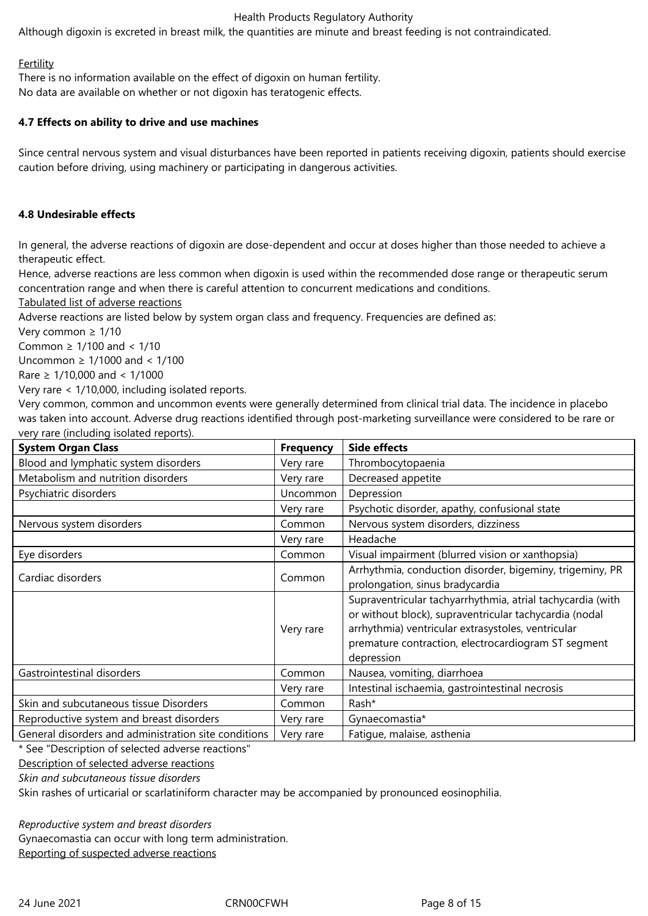Although digoxin is excreted in breast milk, the quantities are minute and breast feeding is not contraindicated.

### **Fertility**

There is no information available on the effect of digoxin on human fertility. No data are available on whether or not digoxin has teratogenic effects.

## **4.7 Effects on ability to drive and use machines**

Since central nervous system and visual disturbances have been reported in patients receiving digoxin, patients should exercise caution before driving, using machinery or participating in dangerous activities.

## **4.8 Undesirable effects**

In general, the adverse reactions of digoxin are dose-dependent and occur at doses higher than those needed to achieve a therapeutic effect.

Hence, adverse reactions are less common when digoxin is used within the recommended dose range or therapeutic serum concentration range and when there is careful attention to concurrent medications and conditions.

Tabulated list of adverse reactions

Adverse reactions are listed below by system organ class and frequency. Frequencies are defined as:

Very common ≥ 1/10

Common ≥ 1/100 and < 1/10

Uncommon ≥ 1/1000 and < 1/100

Rare ≥ 1/10,000 and < 1/1000

Very rare < 1/10,000, including isolated reports.

Very common, common and uncommon events were generally determined from clinical trial data. The incidence in placebo was taken into account. Adverse drug reactions identified through post-marketing surveillance were considered to be rare or very rare (including isolated reports).

| <b>System Organ Class</b>                            | <b>Frequency</b> | <b>Side effects</b>                                                                                                                                                                                                                             |
|------------------------------------------------------|------------------|-------------------------------------------------------------------------------------------------------------------------------------------------------------------------------------------------------------------------------------------------|
| Blood and lymphatic system disorders                 | Very rare        | Thrombocytopaenia                                                                                                                                                                                                                               |
| Metabolism and nutrition disorders                   | Very rare        | Decreased appetite                                                                                                                                                                                                                              |
| Psychiatric disorders                                | Uncommon         | Depression                                                                                                                                                                                                                                      |
|                                                      | Very rare        | Psychotic disorder, apathy, confusional state                                                                                                                                                                                                   |
| Nervous system disorders                             | Common           | Nervous system disorders, dizziness                                                                                                                                                                                                             |
|                                                      | Very rare        | Headache                                                                                                                                                                                                                                        |
| Eye disorders                                        | Common           | Visual impairment (blurred vision or xanthopsia)                                                                                                                                                                                                |
| Cardiac disorders                                    | Common           | Arrhythmia, conduction disorder, bigeminy, trigeminy, PR<br>prolongation, sinus bradycardia                                                                                                                                                     |
|                                                      | Very rare        | Supraventricular tachyarrhythmia, atrial tachycardia (with<br>or without block), supraventricular tachycardia (nodal<br>arrhythmia) ventricular extrasystoles, ventricular<br>premature contraction, electrocardiogram ST segment<br>depression |
| Gastrointestinal disorders                           | Common           | Nausea, vomiting, diarrhoea                                                                                                                                                                                                                     |
|                                                      | Very rare        | Intestinal ischaemia, gastrointestinal necrosis                                                                                                                                                                                                 |
| Skin and subcutaneous tissue Disorders               | Common           | Rash*                                                                                                                                                                                                                                           |
| Reproductive system and breast disorders             | Very rare        | Gynaecomastia*                                                                                                                                                                                                                                  |
| General disorders and administration site conditions | Very rare        | Fatique, malaise, asthenia                                                                                                                                                                                                                      |

\* See "Description of selected adverse reactions"

Description of selected adverse reactions

*Skin and subcutaneous tissue disorders*

Skin rashes of urticarial or scarlatiniform character may be accompanied by pronounced eosinophilia.

*Reproductive system and breast disorders*

Gynaecomastia can occur with long term administration.

Reporting of suspected adverse reactions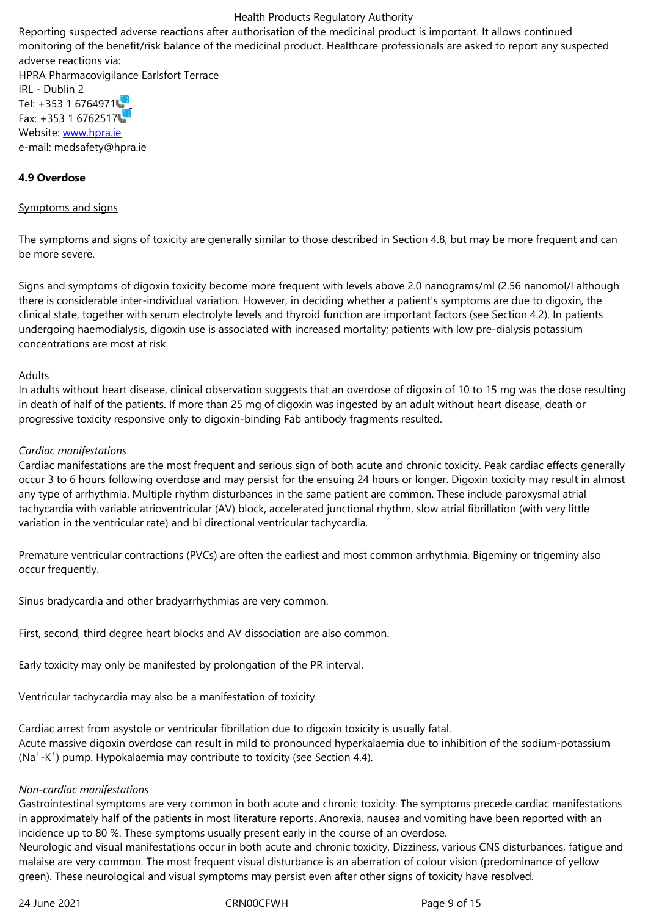adverse reactions via: HPRA Pharmacovigilance Earlsfort Terrace IRL - Dublin 2 Tel: +353 1 6764971 Fax:  $+353$  1 6762517 Website: www.hpra.ie e-mail: medsafety@hpra.ie

## **4.9 Over[dose](http://www.hpra.ie/)**

#### Symptoms and signs

The symptoms and signs of toxicity are generally similar to those described in Section 4.8, but may be more frequent and can be more severe.

Signs and symptoms of digoxin toxicity become more frequent with levels above 2.0 nanograms/ml (2.56 nanomol/l although there is considerable inter-individual variation. However, in deciding whether a patient's symptoms are due to digoxin, the clinical state, together with serum electrolyte levels and thyroid function are important factors (see Section 4.2). In patients undergoing haemodialysis, digoxin use is associated with increased mortality; patients with low pre-dialysis potassium concentrations are most at risk.

## Adults

In adults without heart disease, clinical observation suggests that an overdose of digoxin of 10 to 15 mg was the dose resulting in death of half of the patients. If more than 25 mg of digoxin was ingested by an adult without heart disease, death or progressive toxicity responsive only to digoxin-binding Fab antibody fragments resulted.

## *Cardiac manifestations*

Cardiac manifestations are the most frequent and serious sign of both acute and chronic toxicity. Peak cardiac effects generally occur 3 to 6 hours following overdose and may persist for the ensuing 24 hours or longer. Digoxin toxicity may result in almost any type of arrhythmia. Multiple rhythm disturbances in the same patient are common. These include paroxysmal atrial tachycardia with variable atrioventricular (AV) block, accelerated junctional rhythm, slow atrial fibrillation (with very little variation in the ventricular rate) and bi directional ventricular tachycardia.

Premature ventricular contractions (PVCs) are often the earliest and most common arrhythmia. Bigeminy or trigeminy also occur frequently.

Sinus bradycardia and other bradyarrhythmias are very common.

First, second, third degree heart blocks and AV dissociation are also common.

Early toxicity may only be manifested by prolongation of the PR interval.

Ventricular tachycardia may also be a manifestation of toxicity.

Cardiac arrest from asystole or ventricular fibrillation due to digoxin toxicity is usually fatal. Acute massive digoxin overdose can result in mild to pronounced hyperkalaemia due to inhibition of the sodium-potassium (Na<sup>+</sup> -K<sup>+</sup> ) pump. Hypokalaemia may contribute to toxicity (see Section 4.4).

#### *Non-cardiac manifestations*

Gastrointestinal symptoms are very common in both acute and chronic toxicity. The symptoms precede cardiac manifestations in approximately half of the patients in most literature reports. Anorexia, nausea and vomiting have been reported with an incidence up to 80 %. These symptoms usually present early in the course of an overdose.

Neurologic and visual manifestations occur in both acute and chronic toxicity. Dizziness, various CNS disturbances, fatigue and malaise are very common. The most frequent visual disturbance is an aberration of colour vision (predominance of yellow green). These neurological and visual symptoms may persist even after other signs of toxicity have resolved.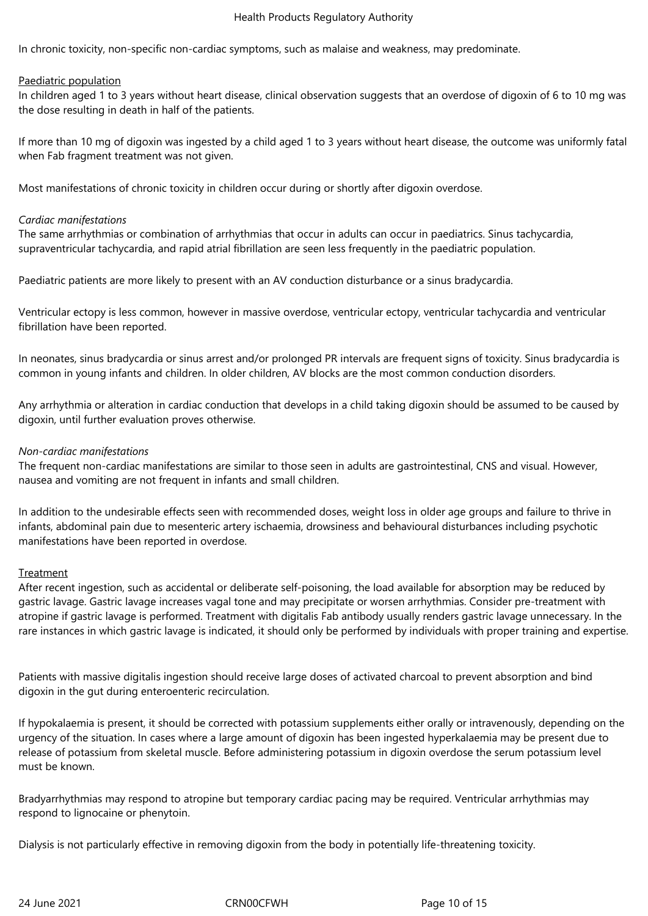In chronic toxicity, non-specific non-cardiac symptoms, such as malaise and weakness, may predominate.

#### Paediatric population

In children aged 1 to 3 years without heart disease, clinical observation suggests that an overdose of digoxin of 6 to 10 mg was the dose resulting in death in half of the patients.

If more than 10 mg of digoxin was ingested by a child aged 1 to 3 years without heart disease, the outcome was uniformly fatal when Fab fragment treatment was not given.

Most manifestations of chronic toxicity in children occur during or shortly after digoxin overdose.

#### *Cardiac manifestations*

The same arrhythmias or combination of arrhythmias that occur in adults can occur in paediatrics. Sinus tachycardia, supraventricular tachycardia, and rapid atrial fibrillation are seen less frequently in the paediatric population.

Paediatric patients are more likely to present with an AV conduction disturbance or a sinus bradycardia.

Ventricular ectopy is less common, however in massive overdose, ventricular ectopy, ventricular tachycardia and ventricular fibrillation have been reported.

In neonates, sinus bradycardia or sinus arrest and/or prolonged PR intervals are frequent signs of toxicity. Sinus bradycardia is common in young infants and children. In older children, AV blocks are the most common conduction disorders.

Any arrhythmia or alteration in cardiac conduction that develops in a child taking digoxin should be assumed to be caused by digoxin, until further evaluation proves otherwise.

#### *Non-cardiac manifestations*

The frequent non-cardiac manifestations are similar to those seen in adults are gastrointestinal, CNS and visual. However, nausea and vomiting are not frequent in infants and small children.

In addition to the undesirable effects seen with recommended doses, weight loss in older age groups and failure to thrive in infants, abdominal pain due to mesenteric artery ischaemia, drowsiness and behavioural disturbances including psychotic manifestations have been reported in overdose.

#### Treatment

After recent ingestion, such as accidental or deliberate self-poisoning, the load available for absorption may be reduced by gastric lavage. Gastric lavage increases vagal tone and may precipitate or worsen arrhythmias. Consider pre-treatment with atropine if gastric lavage is performed. Treatment with digitalis Fab antibody usually renders gastric lavage unnecessary. In the rare instances in which gastric lavage is indicated, it should only be performed by individuals with proper training and expertise.

Patients with massive digitalis ingestion should receive large doses of activated charcoal to prevent absorption and bind digoxin in the gut during enteroenteric recirculation.

If hypokalaemia is present, it should be corrected with potassium supplements either orally or intravenously, depending on the urgency of the situation. In cases where a large amount of digoxin has been ingested hyperkalaemia may be present due to release of potassium from skeletal muscle. Before administering potassium in digoxin overdose the serum potassium level must be known.

Bradyarrhythmias may respond to atropine but temporary cardiac pacing may be required. Ventricular arrhythmias may respond to lignocaine or phenytoin.

Dialysis is not particularly effective in removing digoxin from the body in potentially life-threatening toxicity.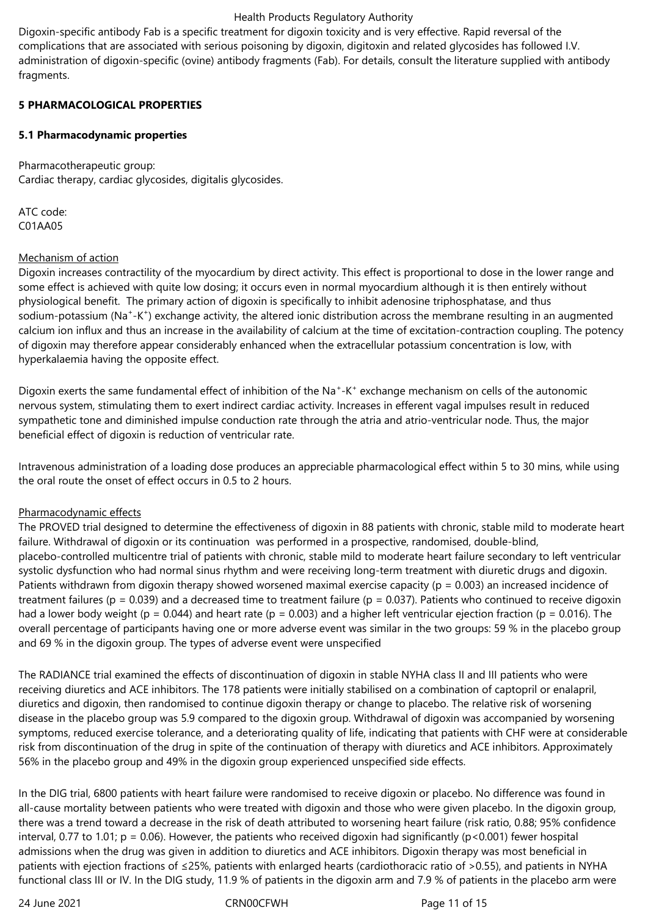Digoxin-specific antibody Fab is a specific treatment for digoxin toxicity and is very effective. Rapid reversal of the complications that are associated with serious poisoning by digoxin, digitoxin and related glycosides has followed I.V. administration of digoxin-specific (ovine) antibody fragments (Fab). For details, consult the literature supplied with antibody fragments.

## **5 PHARMACOLOGICAL PROPERTIES**

## **5.1 Pharmacodynamic properties**

Pharmacotherapeutic group: Cardiac therapy, cardiac glycosides, digitalis glycosides.

ATC code: C01AA05

## Mechanism of action

Digoxin increases contractility of the myocardium by direct activity. This effect is proportional to dose in the lower range and some effect is achieved with quite low dosing; it occurs even in normal myocardium although it is then entirely without physiological benefit. The primary action of digoxin is specifically to inhibit adenosine triphosphatase, and thus sodium-potassium (Na<sup>+</sup>-K<sup>+</sup>) exchange activity, the altered ionic distribution across the membrane resulting in an augmented calcium ion influx and thus an increase in the availability of calcium at the time of excitation-contraction coupling. The potency of digoxin may therefore appear considerably enhanced when the extracellular potassium concentration is low, with hyperkalaemia having the opposite effect.

Digoxin exerts the same fundamental effect of inhibition of the Na<sup>+</sup>-K<sup>+</sup> exchange mechanism on cells of the autonomic nervous system, stimulating them to exert indirect cardiac activity. Increases in efferent vagal impulses result in reduced sympathetic tone and diminished impulse conduction rate through the atria and atrio-ventricular node. Thus, the major beneficial effect of digoxin is reduction of ventricular rate.

Intravenous administration of a loading dose produces an appreciable pharmacological effect within 5 to 30 mins, while using the oral route the onset of effect occurs in 0.5 to 2 hours.

## Pharmacodynamic effects

The PROVED trial designed to determine the effectiveness of digoxin in 88 patients with chronic, stable mild to moderate heart failure. Withdrawal of digoxin or its continuation was performed in a prospective, randomised, double-blind, placebo-controlled multicentre trial of patients with chronic, stable mild to moderate heart failure secondary to left ventricular systolic dysfunction who had normal sinus rhythm and were receiving long-term treatment with diuretic drugs and digoxin. Patients withdrawn from digoxin therapy showed worsened maximal exercise capacity ( $p = 0.003$ ) an increased incidence of treatment failures ( $p = 0.039$ ) and a decreased time to treatment failure ( $p = 0.037$ ). Patients who continued to receive digoxin had a lower body weight (p = 0.044) and heart rate (p = 0.003) and a higher left ventricular ejection fraction (p = 0.016). The overall percentage of participants having one or more adverse event was similar in the two groups: 59 % in the placebo group and 69 % in the digoxin group. The types of adverse event were unspecified

The RADIANCE trial examined the effects of discontinuation of digoxin in stable NYHA class II and III patients who were receiving diuretics and ACE inhibitors. The 178 patients were initially stabilised on a combination of captopril or enalapril, diuretics and digoxin, then randomised to continue digoxin therapy or change to placebo. The relative risk of worsening disease in the placebo group was 5.9 compared to the digoxin group. Withdrawal of digoxin was accompanied by worsening symptoms, reduced exercise tolerance, and a deteriorating quality of life, indicating that patients with CHF were at considerable risk from discontinuation of the drug in spite of the continuation of therapy with diuretics and ACE inhibitors. Approximately 56% in the placebo group and 49% in the digoxin group experienced unspecified side effects.

In the DIG trial, 6800 patients with heart failure were randomised to receive digoxin or placebo. No difference was found in all-cause mortality between patients who were treated with digoxin and those who were given placebo. In the digoxin group, there was a trend toward a decrease in the risk of death attributed to worsening heart failure (risk ratio, 0.88; 95% confidence interval, 0.77 to 1.01;  $p = 0.06$ ). However, the patients who received digoxin had significantly ( $p < 0.001$ ) fewer hospital admissions when the drug was given in addition to diuretics and ACE inhibitors. Digoxin therapy was most beneficial in patients with ejection fractions of ≤25%, patients with enlarged hearts (cardiothoracic ratio of >0.55), and patients in NYHA functional class III or IV. In the DIG study, 11.9 % of patients in the digoxin arm and 7.9 % of patients in the placebo arm were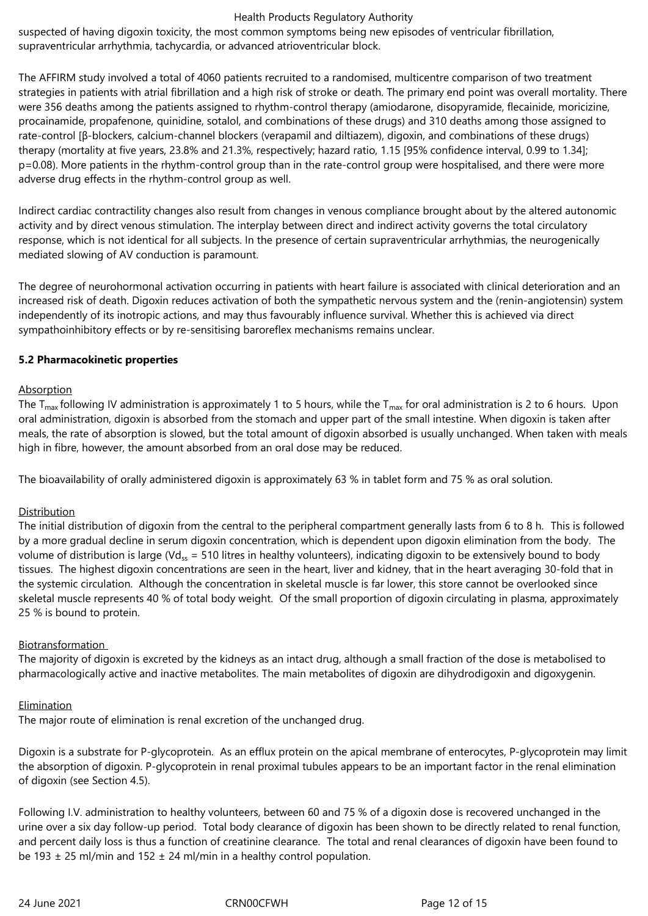suspected of having digoxin toxicity, the most common symptoms being new episodes of ventricular fibrillation, supraventricular arrhythmia, tachycardia, or advanced atrioventricular block.

The AFFIRM study involved a total of 4060 patients recruited to a randomised, multicentre comparison of two treatment strategies in patients with atrial fibrillation and a high risk of stroke or death. The primary end point was overall mortality. There were 356 deaths among the patients assigned to rhythm-control therapy (amiodarone, disopyramide, flecainide, moricizine, procainamide, propafenone, quinidine, sotalol, and combinations of these drugs) and 310 deaths among those assigned to rate-control [β-blockers, calcium-channel blockers (verapamil and diltiazem), digoxin, and combinations of these drugs) therapy (mortality at five years, 23.8% and 21.3%, respectively; hazard ratio, 1.15 [95% confidence interval, 0.99 to 1.34]; p=0.08). More patients in the rhythm-control group than in the rate-control group were hospitalised, and there were more adverse drug effects in the rhythm-control group as well.

Indirect cardiac contractility changes also result from changes in venous compliance brought about by the altered autonomic activity and by direct venous stimulation. The interplay between direct and indirect activity governs the total circulatory response, which is not identical for all subjects. In the presence of certain supraventricular arrhythmias, the neurogenically mediated slowing of AV conduction is paramount.

The degree of neurohormonal activation occurring in patients with heart failure is associated with clinical deterioration and an increased risk of death. Digoxin reduces activation of both the sympathetic nervous system and the (renin-angiotensin) system independently of its inotropic actions, and may thus favourably influence survival. Whether this is achieved via direct sympathoinhibitory effects or by re-sensitising baroreflex mechanisms remains unclear.

## **5.2 Pharmacokinetic properties**

## Absorption

The  $T_{\text{max}}$  following IV administration is approximately 1 to 5 hours, while the  $T_{\text{max}}$  for oral administration is 2 to 6 hours. Upon oral administration, digoxin is absorbed from the stomach and upper part of the small intestine. When digoxin is taken after meals, the rate of absorption is slowed, but the total amount of digoxin absorbed is usually unchanged. When taken with meals high in fibre, however, the amount absorbed from an oral dose may be reduced.

The bioavailability of orally administered digoxin is approximately 63 % in tablet form and 75 % as oral solution.

#### Distribution

The initial distribution of digoxin from the central to the peripheral compartment generally lasts from 6 to 8 h. This is followed by a more gradual decline in serum digoxin concentration, which is dependent upon digoxin elimination from the body. The volume of distribution is large (Vd<sub>ss</sub> = 510 litres in healthy volunteers), indicating digoxin to be extensively bound to body tissues. The highest digoxin concentrations are seen in the heart, liver and kidney, that in the heart averaging 30-fold that in the systemic circulation. Although the concentration in skeletal muscle is far lower, this store cannot be overlooked since skeletal muscle represents 40 % of total body weight. Of the small proportion of digoxin circulating in plasma, approximately 25 % is bound to protein.

#### Biotransformation

The majority of digoxin is excreted by the kidneys as an intact drug, although a small fraction of the dose is metabolised to pharmacologically active and inactive metabolites. The main metabolites of digoxin are dihydrodigoxin and digoxygenin.

#### **Elimination**

The major route of elimination is renal excretion of the unchanged drug.

Digoxin is a substrate for P-glycoprotein. As an efflux protein on the apical membrane of enterocytes, P-glycoprotein may limit the absorption of digoxin. P-glycoprotein in renal proximal tubules appears to be an important factor in the renal elimination of digoxin (see Section 4.5).

Following I.V. administration to healthy volunteers, between 60 and 75 % of a digoxin dose is recovered unchanged in the urine over a six day follow-up period. Total body clearance of digoxin has been shown to be directly related to renal function, and percent daily loss is thus a function of creatinine clearance. The total and renal clearances of digoxin have been found to be 193  $\pm$  25 ml/min and 152  $\pm$  24 ml/min in a healthy control population.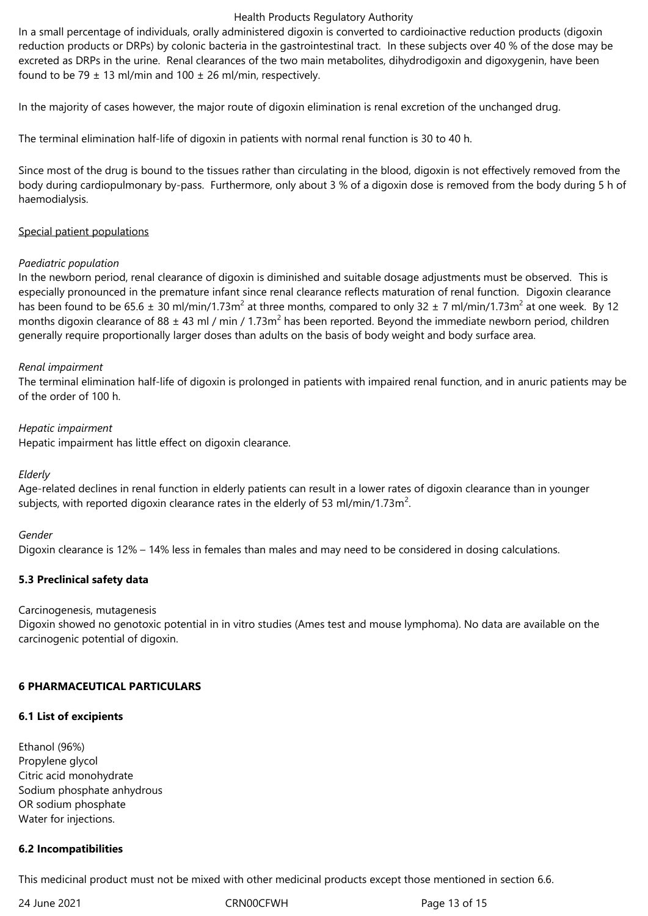In a small percentage of individuals, orally administered digoxin is converted to cardioinactive reduction products (digoxin reduction products or DRPs) by colonic bacteria in the gastrointestinal tract. In these subjects over 40 % of the dose may be excreted as DRPs in the urine. Renal clearances of the two main metabolites, dihydrodigoxin and digoxygenin, have been found to be 79  $\pm$  13 ml/min and 100  $\pm$  26 ml/min, respectively.

In the majority of cases however, the major route of digoxin elimination is renal excretion of the unchanged drug.

The terminal elimination half-life of digoxin in patients with normal renal function is 30 to 40 h.

Since most of the drug is bound to the tissues rather than circulating in the blood, digoxin is not effectively removed from the body during cardiopulmonary by-pass. Furthermore, only about 3 % of a digoxin dose is removed from the body during 5 h of haemodialysis.

#### Special patient populations

#### *Paediatric population*

In the newborn period, renal clearance of digoxin is diminished and suitable dosage adjustments must be observed. This is especially pronounced in the premature infant since renal clearance reflects maturation of renal function. Digoxin clearance has been found to be 65.6  $\pm$  30 ml/min/1.73m<sup>2</sup> at three months, compared to only 32  $\pm$  7 ml/min/1.73m<sup>2</sup> at one week. By 12 months digoxin clearance of 88  $\pm$  43 ml / min / 1.73m<sup>2</sup> has been reported. Beyond the immediate newborn period, children generally require proportionally larger doses than adults on the basis of body weight and body surface area.

## *Renal impairment*

The terminal elimination half-life of digoxin is prolonged in patients with impaired renal function, and in anuric patients may be of the order of 100 h.

## *Hepatic impairment*

Hepatic impairment has little effect on digoxin clearance.

#### *Elderly*

Age-related declines in renal function in elderly patients can result in a lower rates of digoxin clearance than in younger subjects, with reported digoxin clearance rates in the elderly of 53 ml/min/1.73m<sup>2</sup>.

## *Gender*

Digoxin clearance is 12% – 14% less in females than males and may need to be considered in dosing calculations.

## **5.3 Preclinical safety data**

#### Carcinogenesis, mutagenesis

Digoxin showed no genotoxic potential in in vitro studies (Ames test and mouse lymphoma). No data are available on the carcinogenic potential of digoxin.

## **6 PHARMACEUTICAL PARTICULARS**

#### **6.1 List of excipients**

Ethanol (96%) Propylene glycol Citric acid monohydrate Sodium phosphate anhydrous OR sodium phosphate Water for injections.

#### **6.2 Incompatibilities**

This medicinal product must not be mixed with other medicinal products except those mentioned in section 6.6.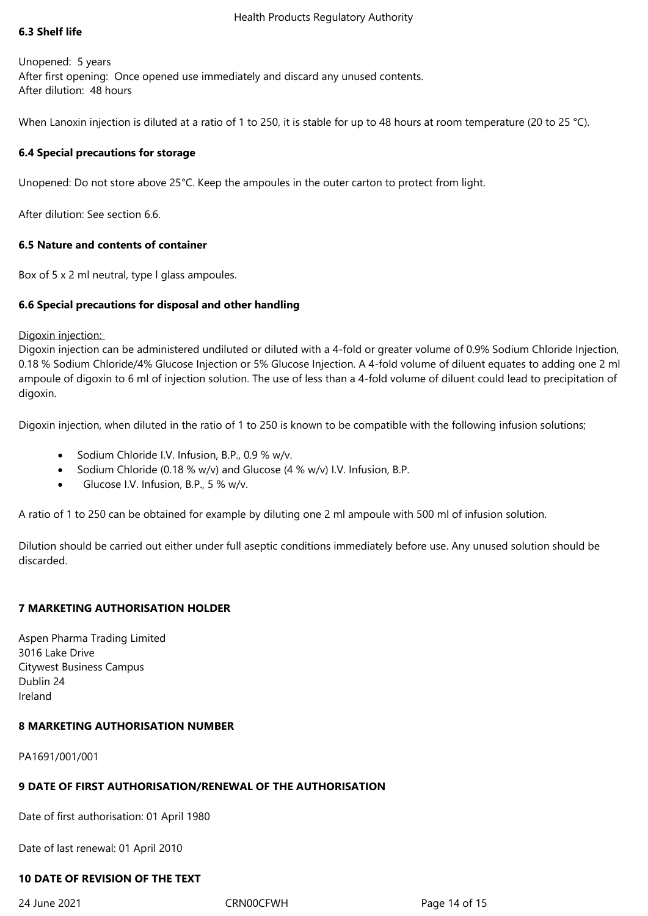## **6.3 Shelf life**

Unopened: 5 years After first opening: Once opened use immediately and discard any unused contents. After dilution: 48 hours

When Lanoxin injection is diluted at a ratio of 1 to 250, it is stable for up to 48 hours at room temperature (20 to 25 °C).

## **6.4 Special precautions for storage**

Unopened: Do not store above 25°C. Keep the ampoules in the outer carton to protect from light.

After dilution: See section 6.6.

## **6.5 Nature and contents of container**

Box of 5 x 2 ml neutral, type l glass ampoules.

## **6.6 Special precautions for disposal and other handling**

Digoxin injection:

Digoxin injection can be administered undiluted or diluted with a 4-fold or greater volume of 0.9% Sodium Chloride Injection, 0.18 % Sodium Chloride/4% Glucose Injection or 5% Glucose Injection. A 4-fold volume of diluent equates to adding one 2 ml ampoule of digoxin to 6 ml of injection solution. The use of less than a 4-fold volume of diluent could lead to precipitation of digoxin.

Digoxin injection, when diluted in the ratio of 1 to 250 is known to be compatible with the following infusion solutions;

- Sodium Chloride I.V. Infusion, B.P., 0.9 % w/v.
- Sodium Chloride (0.18 % w/v) and Glucose (4 % w/v) I.V. Infusion, B.P.
- Glucose I.V. Infusion, B.P., 5 % w/v.

A ratio of 1 to 250 can be obtained for example by diluting one 2 ml ampoule with 500 ml of infusion solution.

Dilution should be carried out either under full aseptic conditions immediately before use. Any unused solution should be discarded.

## **7 MARKETING AUTHORISATION HOLDER**

Aspen Pharma Trading Limited 3016 Lake Drive Citywest Business Campus Dublin 24 Ireland

## **8 MARKETING AUTHORISATION NUMBER**

PA1691/001/001

# **9 DATE OF FIRST AUTHORISATION/RENEWAL OF THE AUTHORISATION**

Date of first authorisation: 01 April 1980

Date of last renewal: 01 April 2010

# **10 DATE OF REVISION OF THE TEXT**